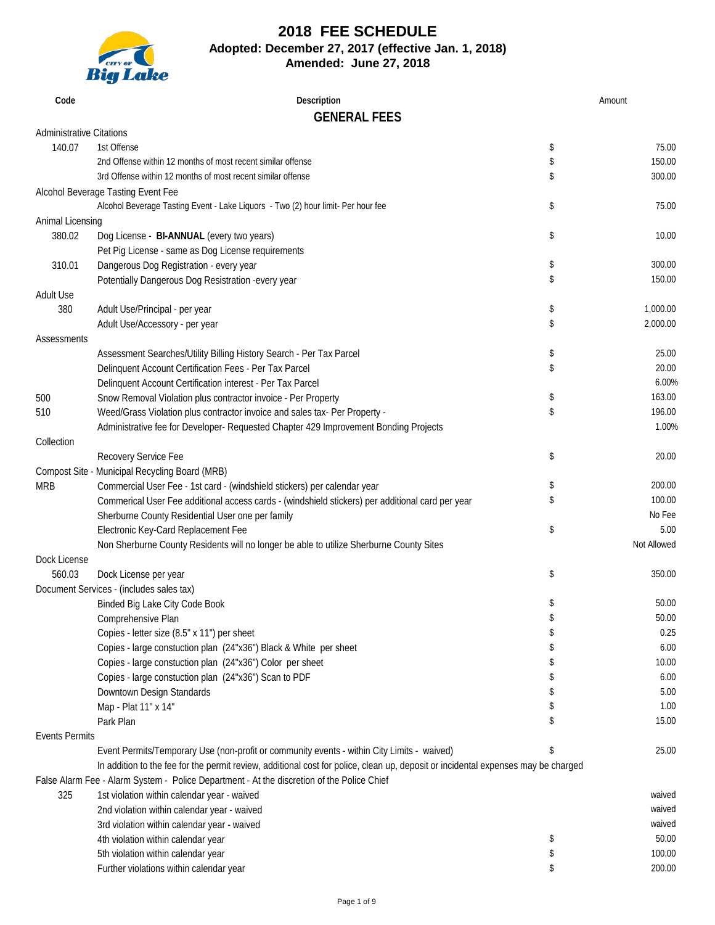

# **2018 FEE SCHEDULE Adopted: December 27, 2017 (effective Jan. 1, 2018)**

**Amended: June 27, 2018**

| Code                            | Description                                                                                                                       |    | Amount      |
|---------------------------------|-----------------------------------------------------------------------------------------------------------------------------------|----|-------------|
|                                 | <b>GENERAL FEES</b>                                                                                                               |    |             |
| <b>Administrative Citations</b> |                                                                                                                                   |    |             |
| 140.07                          | 1st Offense                                                                                                                       | \$ | 75.00       |
|                                 | 2nd Offense within 12 months of most recent similar offense                                                                       | \$ | 150.00      |
|                                 | 3rd Offense within 12 months of most recent similar offense                                                                       |    | 300.00      |
|                                 |                                                                                                                                   | \$ |             |
|                                 | Alcohol Beverage Tasting Event Fee                                                                                                |    |             |
|                                 | Alcohol Beverage Tasting Event - Lake Liquors - Two (2) hour limit- Per hour fee                                                  | \$ | 75.00       |
| Animal Licensing                |                                                                                                                                   |    |             |
| 380.02                          | Dog License - BI-ANNUAL (every two years)                                                                                         | \$ | 10.00       |
|                                 | Pet Pig License - same as Dog License requirements                                                                                |    |             |
| 310.01                          | Dangerous Dog Registration - every year                                                                                           | \$ | 300.00      |
|                                 | Potentially Dangerous Dog Resistration -every year                                                                                | \$ | 150.00      |
| <b>Adult Use</b>                |                                                                                                                                   |    |             |
| 380                             | Adult Use/Principal - per year                                                                                                    | \$ | 1,000.00    |
|                                 | Adult Use/Accessory - per year                                                                                                    | \$ | 2,000.00    |
| Assessments                     |                                                                                                                                   |    |             |
|                                 | Assessment Searches/Utility Billing History Search - Per Tax Parcel                                                               | \$ | 25.00       |
|                                 | Delinquent Account Certification Fees - Per Tax Parcel                                                                            | \$ | 20.00       |
|                                 |                                                                                                                                   |    | 6.00%       |
|                                 | Delinquent Account Certification interest - Per Tax Parcel                                                                        |    | 163.00      |
| 500                             | Snow Removal Violation plus contractor invoice - Per Property                                                                     | \$ |             |
| 510                             | Weed/Grass Violation plus contractor invoice and sales tax- Per Property -                                                        | \$ | 196.00      |
|                                 | Administrative fee for Developer- Requested Chapter 429 Improvement Bonding Projects                                              |    | 1.00%       |
| Collection                      |                                                                                                                                   |    |             |
|                                 | Recovery Service Fee                                                                                                              | \$ | 20.00       |
|                                 | Compost Site - Municipal Recycling Board (MRB)                                                                                    |    |             |
| <b>MRB</b>                      | Commercial User Fee - 1st card - (windshield stickers) per calendar year                                                          | \$ | 200.00      |
|                                 | Commerical User Fee additional access cards - (windshield stickers) per additional card per year                                  | \$ | 100.00      |
|                                 | Sherburne County Residential User one per family                                                                                  |    | No Fee      |
|                                 | Electronic Key-Card Replacement Fee                                                                                               | \$ | 5.00        |
|                                 | Non Sherburne County Residents will no longer be able to utilize Sherburne County Sites                                           |    | Not Allowed |
| Dock License                    |                                                                                                                                   |    |             |
| 560.03                          | Dock License per year                                                                                                             | \$ | 350.00      |
|                                 | Document Services - (includes sales tax)                                                                                          |    |             |
|                                 |                                                                                                                                   |    |             |
|                                 | Binded Big Lake City Code Book                                                                                                    | S  | 50.00       |
|                                 | Comprehensive Plan                                                                                                                |    | 50.00       |
|                                 | Copies - letter size (8.5" x 11") per sheet                                                                                       | \$ | 0.25        |
|                                 | Copies - large constuction plan (24"x36") Black & White per sheet                                                                 | S  | 6.00        |
|                                 | Copies - large constuction plan (24"x36") Color per sheet                                                                         |    | 10.00       |
|                                 | Copies - large constuction plan (24"x36") Scan to PDF                                                                             | \$ | 6.00        |
|                                 | Downtown Design Standards                                                                                                         | \$ | 5.00        |
|                                 | Map - Plat 11" x 14"                                                                                                              |    | 1.00        |
|                                 | Park Plan                                                                                                                         |    | 15.00       |
| <b>Events Permits</b>           |                                                                                                                                   |    |             |
|                                 | Event Permits/Temporary Use (non-profit or community events - within City Limits - waived)                                        |    | 25.00       |
|                                 | In addition to the fee for the permit review, additional cost for police, clean up, deposit or incidental expenses may be charged |    |             |
|                                 | False Alarm Fee - Alarm System - Police Department - At the discretion of the Police Chief                                        |    |             |
| 325                             |                                                                                                                                   |    | waived      |
|                                 | 1st violation within calendar year - waived                                                                                       |    |             |
|                                 | 2nd violation within calendar year - waived                                                                                       |    | waived      |
|                                 | 3rd violation within calendar year - waived                                                                                       |    | waived      |
|                                 | 4th violation within calendar year                                                                                                | \$ | 50.00       |
|                                 | 5th violation within calendar year                                                                                                | \$ | 100.00      |

Further violations within calendar year \$ 200.00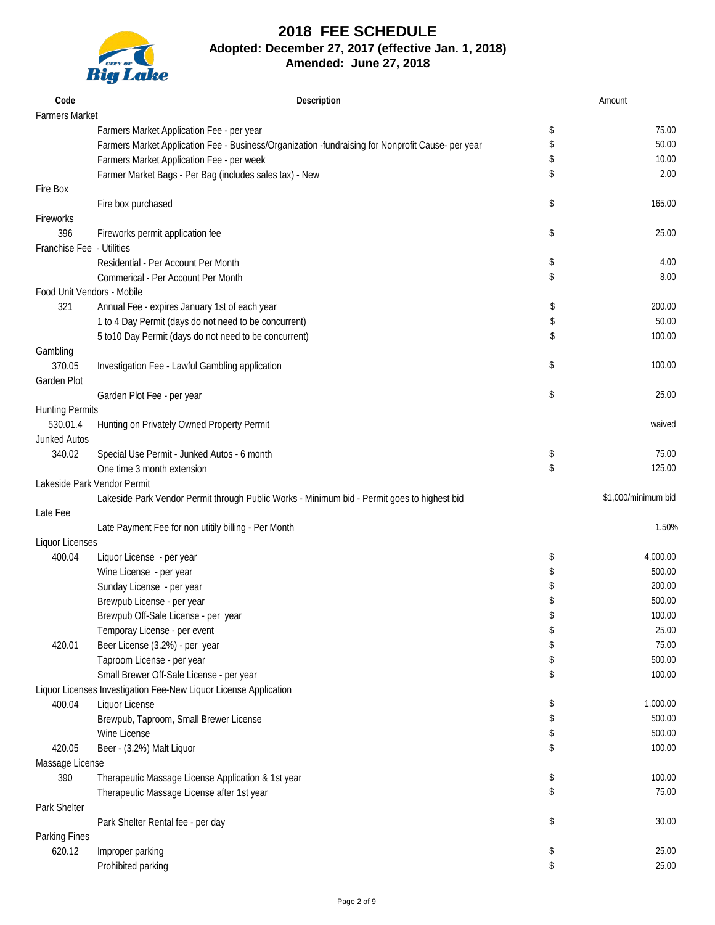

Massage License

Park Shelter

Parking Fines

#### **2018 FEE SCHEDULE Adopted: December 27, 2017 (effective Jan. 1, 2018) Amended: June 27, 2018**

|                             | <b>Big Lake</b>                                                                                   |                     |
|-----------------------------|---------------------------------------------------------------------------------------------------|---------------------|
| Code                        | Description                                                                                       | Amount              |
| <b>Farmers Market</b>       |                                                                                                   |                     |
|                             | Farmers Market Application Fee - per year                                                         | \$<br>75.00         |
|                             | Farmers Market Application Fee - Business/Organization -fundraising for Nonprofit Cause- per year | \$<br>50.00         |
|                             | Farmers Market Application Fee - per week                                                         | \$<br>10.00         |
|                             | Farmer Market Bags - Per Bag (includes sales tax) - New                                           | \$<br>2.00          |
| Fire Box                    |                                                                                                   |                     |
|                             | Fire box purchased                                                                                | \$<br>165.00        |
| Fireworks                   |                                                                                                   |                     |
| 396                         | Fireworks permit application fee                                                                  | \$<br>25.00         |
| Franchise Fee - Utilities   |                                                                                                   |                     |
|                             | Residential - Per Account Per Month                                                               | \$<br>4.00          |
|                             | Commerical - Per Account Per Month                                                                | \$<br>8.00          |
| Food Unit Vendors - Mobile  |                                                                                                   |                     |
| 321                         | Annual Fee - expires January 1st of each year                                                     | \$<br>200.00        |
|                             | 1 to 4 Day Permit (days do not need to be concurrent)                                             | \$<br>50.00         |
|                             | 5 to10 Day Permit (days do not need to be concurrent)                                             | \$<br>100.00        |
| Gambling                    |                                                                                                   |                     |
| 370.05                      | Investigation Fee - Lawful Gambling application                                                   | \$<br>100.00        |
| Garden Plot                 |                                                                                                   |                     |
|                             | Garden Plot Fee - per year                                                                        | \$<br>25.00         |
| <b>Hunting Permits</b>      |                                                                                                   |                     |
| 530.01.4                    | Hunting on Privately Owned Property Permit                                                        | waived              |
| <b>Junked Autos</b>         |                                                                                                   |                     |
| 340.02                      | Special Use Permit - Junked Autos - 6 month                                                       | \$<br>75.00         |
|                             | One time 3 month extension                                                                        | \$<br>125.00        |
| Lakeside Park Vendor Permit |                                                                                                   |                     |
|                             | Lakeside Park Vendor Permit through Public Works - Minimum bid - Permit goes to highest bid       | \$1,000/minimum bid |
| Late Fee                    |                                                                                                   |                     |
|                             | Late Payment Fee for non utitily billing - Per Month                                              | 1.50%               |
| <b>Liquor Licenses</b>      |                                                                                                   |                     |
| 400.04                      | Liquor License - per year                                                                         | \$<br>4,000.00      |
|                             | Wine License - per year                                                                           | \$<br>500.00        |
|                             | Sunday License - per year                                                                         | \$<br>200.00        |
|                             | Brewpub License - per year                                                                        | \$<br>500.00        |
|                             | Brewpub Off-Sale License - per year                                                               | \$<br>100.00        |
|                             | Temporay License - per event                                                                      | \$<br>25.00         |
| 420.01                      | Beer License (3.2%) - per year                                                                    | \$<br>75.00         |
|                             | Taproom License - per year                                                                        | \$<br>500.00        |
|                             | Small Brewer Off-Sale License - per year                                                          | \$<br>100.00        |
|                             | Liquor Licenses Investigation Fee-New Liquor License Application                                  |                     |
| 400.04                      | Liquor License                                                                                    | \$<br>1,000.00      |

420.05 Beer - (3.2%) Malt Liquor **100.00** S

390 Therapeutic Massage License Application & 1st year \$ 100.00

Brewpub, Taproom, Small Brewer License **by a struck of the set of the set of the set of the set of the set of the set of the set of the set of the set of the set of the set of the set of the set of the set of the set of th** Wine License  $\sim$  500.00 $\sim$ 

Therapeutic Massage License after 1st year  $\frac{1}{2}$  75.00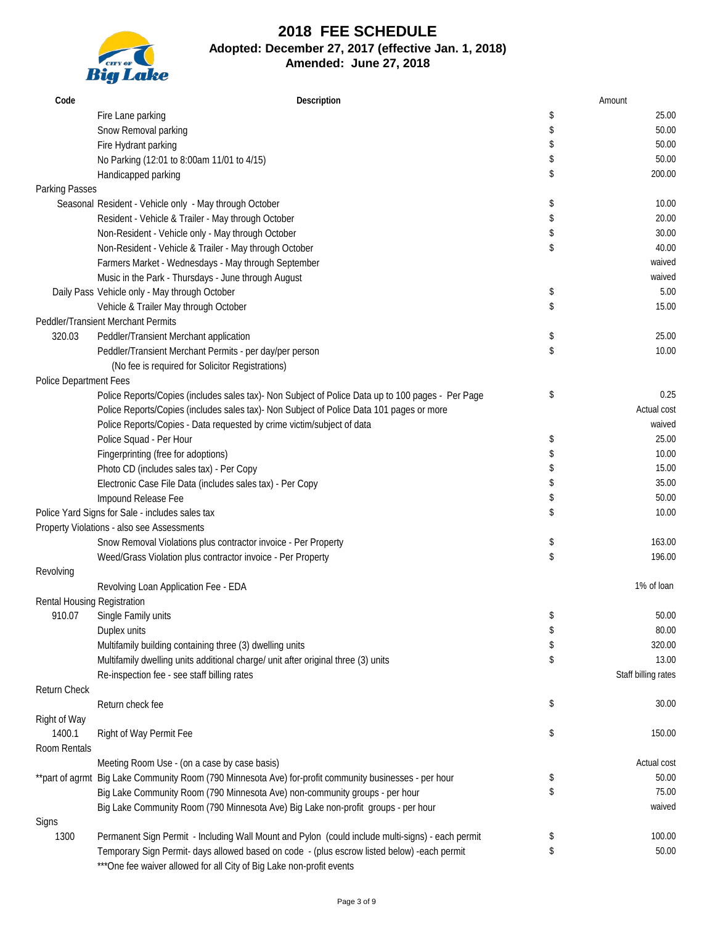

| Code                        | Description                                                                                            |          | Amount              |
|-----------------------------|--------------------------------------------------------------------------------------------------------|----------|---------------------|
|                             | Fire Lane parking                                                                                      | \$       | 25.00               |
|                             | Snow Removal parking                                                                                   | \$       | 50.00               |
|                             | Fire Hydrant parking                                                                                   | \$       | 50.00               |
|                             | No Parking (12:01 to 8:00am 11/01 to 4/15)                                                             | \$       | 50.00               |
|                             | Handicapped parking                                                                                    | \$       | 200.00              |
| Parking Passes              |                                                                                                        |          |                     |
|                             | Seasonal Resident - Vehicle only - May through October                                                 | \$       | 10.00               |
|                             | Resident - Vehicle & Trailer - May through October                                                     | \$       | 20.00               |
|                             | Non-Resident - Vehicle only - May through October                                                      | \$       | 30.00               |
|                             | Non-Resident - Vehicle & Trailer - May through October                                                 | \$       | 40.00               |
|                             | Farmers Market - Wednesdays - May through September                                                    |          | waived              |
|                             | Music in the Park - Thursdays - June through August                                                    |          | waived              |
|                             | Daily Pass Vehicle only - May through October                                                          | \$       | 5.00                |
|                             | Vehicle & Trailer May through October                                                                  | \$       | 15.00               |
|                             | Peddler/Transient Merchant Permits                                                                     |          |                     |
| 320.03                      | Peddler/Transient Merchant application                                                                 | \$       | 25.00               |
|                             | Peddler/Transient Merchant Permits - per day/per person                                                | \$       | 10.00               |
|                             | (No fee is required for Solicitor Registrations)                                                       |          |                     |
| Police Department Fees      |                                                                                                        |          |                     |
|                             | Police Reports/Copies (includes sales tax)- Non Subject of Police Data up to 100 pages - Per Page      | \$       | 0.25                |
|                             | Police Reports/Copies (includes sales tax)- Non Subject of Police Data 101 pages or more               |          | Actual cost         |
|                             | Police Reports/Copies - Data requested by crime victim/subject of data                                 |          | waived              |
|                             | Police Squad - Per Hour                                                                                | \$       | 25.00               |
|                             | Fingerprinting (free for adoptions)                                                                    | \$       | 10.00               |
|                             | Photo CD (includes sales tax) - Per Copy                                                               | \$       | 15.00               |
|                             | Electronic Case File Data (includes sales tax) - Per Copy                                              | \$       | 35.00               |
|                             | Impound Release Fee                                                                                    | \$       | 50.00               |
|                             | Police Yard Signs for Sale - includes sales tax                                                        | \$       | 10.00               |
|                             | Property Violations - also see Assessments                                                             |          |                     |
|                             | Snow Removal Violations plus contractor invoice - Per Property                                         | \$       | 163.00              |
|                             | Weed/Grass Violation plus contractor invoice - Per Property                                            | \$       | 196.00              |
| Revolving                   |                                                                                                        |          |                     |
|                             | Revolving Loan Application Fee - EDA                                                                   |          | 1% of loan          |
| Rental Housing Registration |                                                                                                        |          |                     |
| 910.07                      | Single Family units                                                                                    | \$       | 50.00               |
|                             | Duplex units                                                                                           | \$       | 80.00               |
|                             | Multifamily building containing three (3) dwelling units                                               | \$       | 320.00              |
|                             | Multifamily dwelling units additional charge/ unit after original three (3) units                      | \$       | 13.00               |
|                             | Re-inspection fee - see staff billing rates                                                            |          | Staff billing rates |
| Return Check                |                                                                                                        |          |                     |
|                             | Return check fee                                                                                       | \$       | 30.00               |
| Right of Way                |                                                                                                        |          |                     |
| 1400.1<br>Room Rentals      | Right of Way Permit Fee                                                                                | \$       | 150.00              |
|                             | Meeting Room Use - (on a case by case basis)                                                           |          | Actual cost         |
|                             | **part of agrmt Big Lake Community Room (790 Minnesota Ave) for-profit community businesses - per hour |          | 50.00               |
|                             | Big Lake Community Room (790 Minnesota Ave) non-community groups - per hour                            | \$<br>\$ | 75.00               |
|                             |                                                                                                        |          | waived              |
| Signs                       | Big Lake Community Room (790 Minnesota Ave) Big Lake non-profit groups - per hour                      |          |                     |
| 1300                        | Permanent Sign Permit - Including Wall Mount and Pylon (could include multi-signs) - each permit       | \$       | 100.00              |
|                             | Temporary Sign Permit- days allowed based on code - (plus escrow listed below) -each permit            | \$       | 50.00               |
|                             | *** One fee waiver allowed for all City of Big Lake non-profit events                                  |          |                     |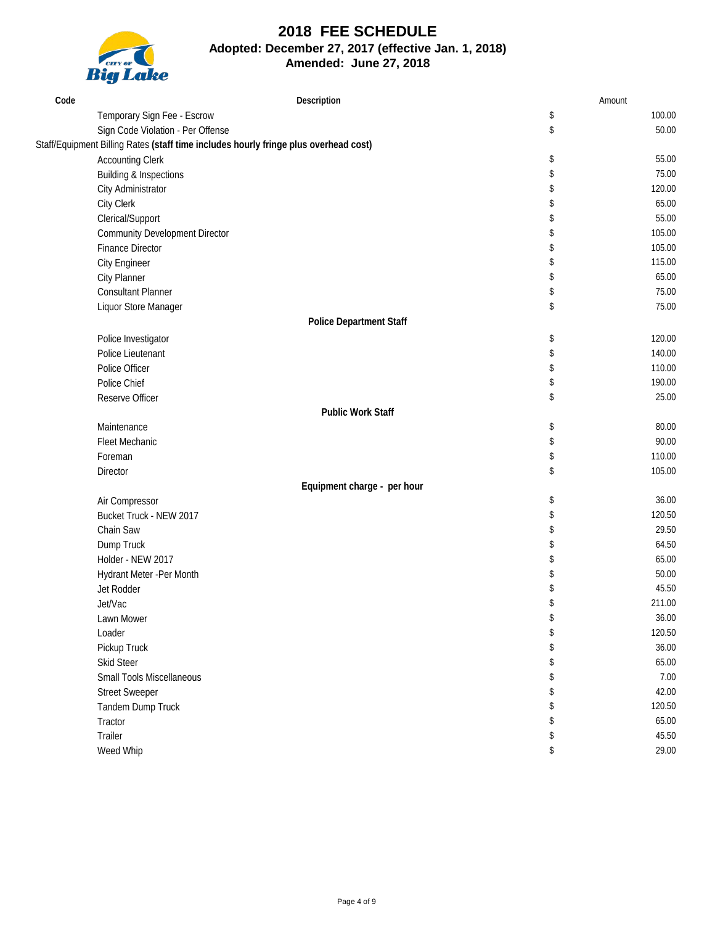

| Code | Description                                                                          |    | Amount |
|------|--------------------------------------------------------------------------------------|----|--------|
|      | Temporary Sign Fee - Escrow                                                          | \$ | 100.00 |
|      | Sign Code Violation - Per Offense                                                    | \$ | 50.00  |
|      | Staff/Equipment Billing Rates (staff time includes hourly fringe plus overhead cost) |    |        |
|      | <b>Accounting Clerk</b>                                                              | \$ | 55.00  |
|      | <b>Building &amp; Inspections</b>                                                    | \$ | 75.00  |
|      | City Administrator                                                                   | \$ | 120.00 |
|      | City Clerk                                                                           | \$ | 65.00  |
|      | Clerical/Support                                                                     | \$ | 55.00  |
|      | <b>Community Development Director</b>                                                | \$ | 105.00 |
|      | <b>Finance Director</b>                                                              | \$ | 105.00 |
|      | <b>City Engineer</b>                                                                 | \$ | 115.00 |
|      | <b>City Planner</b>                                                                  | \$ | 65.00  |
|      | <b>Consultant Planner</b>                                                            | \$ | 75.00  |
|      | Liquor Store Manager                                                                 | \$ | 75.00  |
|      | <b>Police Department Staff</b>                                                       |    |        |
|      | Police Investigator                                                                  | \$ | 120.00 |
|      | Police Lieutenant                                                                    | \$ | 140.00 |
|      | Police Officer                                                                       | \$ | 110.00 |
|      | Police Chief                                                                         | \$ | 190.00 |
|      | Reserve Officer                                                                      | \$ | 25.00  |
|      | <b>Public Work Staff</b>                                                             |    |        |
|      | Maintenance                                                                          | \$ | 80.00  |
|      | Fleet Mechanic                                                                       | \$ | 90.00  |
|      | Foreman                                                                              | \$ | 110.00 |
|      | Director                                                                             | \$ | 105.00 |
|      | Equipment charge - per hour                                                          |    |        |
|      | Air Compressor                                                                       | \$ | 36.00  |
|      | Bucket Truck - NEW 2017                                                              | \$ | 120.50 |
|      | Chain Saw                                                                            | \$ | 29.50  |
|      | Dump Truck                                                                           | \$ | 64.50  |
|      | Holder - NEW 2017                                                                    | \$ | 65.00  |
|      | Hydrant Meter -Per Month                                                             | \$ | 50.00  |
|      | Jet Rodder                                                                           | \$ | 45.50  |
|      | Jet/Vac                                                                              | \$ | 211.00 |
|      | Lawn Mower                                                                           | \$ | 36.00  |
|      | Loader                                                                               | \$ | 120.50 |
|      | Pickup Truck                                                                         | \$ | 36.00  |
|      | Skid Steer                                                                           |    | 65.00  |
|      | Small Tools Miscellaneous                                                            | S  | 7.00   |
|      | <b>Street Sweeper</b>                                                                |    | 42.00  |
|      | Tandem Dump Truck                                                                    |    | 120.50 |
|      | Tractor                                                                              | \$ | 65.00  |
|      | Trailer                                                                              | \$ | 45.50  |
|      | Weed Whip                                                                            | \$ | 29.00  |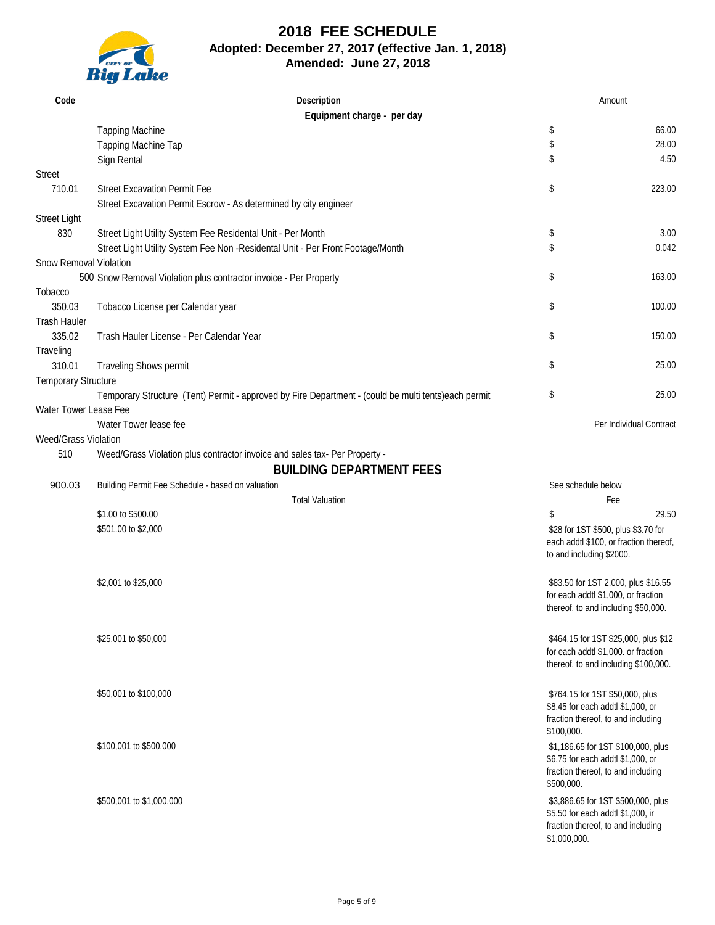

| Code                       | Description<br>Equipment charge - per day                                                           |                          | Amount                                                                        |
|----------------------------|-----------------------------------------------------------------------------------------------------|--------------------------|-------------------------------------------------------------------------------|
|                            | <b>Tapping Machine</b>                                                                              | \$                       | 66.00                                                                         |
|                            | Tapping Machine Tap                                                                                 | \$                       | 28.00                                                                         |
|                            | Sign Rental                                                                                         | \$                       | 4.50                                                                          |
| <b>Street</b>              |                                                                                                     |                          |                                                                               |
| 710.01                     | <b>Street Excavation Permit Fee</b>                                                                 | \$                       | 223.00                                                                        |
|                            | Street Excavation Permit Escrow - As determined by city engineer                                    |                          |                                                                               |
| <b>Street Light</b>        |                                                                                                     |                          |                                                                               |
| 830                        | Street Light Utility System Fee Residental Unit - Per Month                                         | \$                       | 3.00                                                                          |
|                            | Street Light Utility System Fee Non - Residental Unit - Per Front Footage/Month                     | \$                       | 0.042                                                                         |
| Snow Removal Violation     |                                                                                                     |                          |                                                                               |
|                            | 500 Snow Removal Violation plus contractor invoice - Per Property                                   | \$                       | 163.00                                                                        |
| Tobacco<br>350.03          |                                                                                                     | \$                       | 100.00                                                                        |
| <b>Trash Hauler</b>        | Tobacco License per Calendar year                                                                   |                          |                                                                               |
| 335.02                     | Trash Hauler License - Per Calendar Year                                                            | \$                       | 150.00                                                                        |
| Traveling                  |                                                                                                     |                          |                                                                               |
| 310.01                     | Traveling Shows permit                                                                              | \$                       | 25.00                                                                         |
| <b>Temporary Structure</b> |                                                                                                     |                          |                                                                               |
|                            | Temporary Structure (Tent) Permit - approved by Fire Department - (could be multi tents)each permit | \$                       | 25.00                                                                         |
| Water Tower Lease Fee      |                                                                                                     |                          |                                                                               |
|                            | Water Tower lease fee                                                                               |                          | Per Individual Contract                                                       |
| Weed/Grass Violation       |                                                                                                     |                          |                                                                               |
| 510                        | Weed/Grass Violation plus contractor invoice and sales tax- Per Property -                          |                          |                                                                               |
|                            | <b>BUILDING DEPARTMENT FEES</b>                                                                     |                          |                                                                               |
| 900.03                     | Building Permit Fee Schedule - based on valuation                                                   | See schedule below       |                                                                               |
|                            | <b>Total Valuation</b>                                                                              |                          | Fee                                                                           |
|                            | \$1.00 to \$500.00                                                                                  | \$                       | 29.50                                                                         |
|                            | \$501.00 to \$2,000                                                                                 |                          | \$28 for 1ST \$500, plus \$3.70 for<br>each addtl \$100, or fraction thereof, |
|                            |                                                                                                     | to and including \$2000. |                                                                               |
|                            |                                                                                                     |                          |                                                                               |
|                            | \$2,001 to \$25,000                                                                                 |                          | \$83.50 for 1ST 2,000, plus \$16.55                                           |
|                            |                                                                                                     |                          | for each addtl \$1,000, or fraction                                           |
|                            |                                                                                                     |                          | thereof, to and including \$50,000.                                           |
|                            | \$25,001 to \$50,000                                                                                |                          |                                                                               |
|                            |                                                                                                     |                          | \$464.15 for 1ST \$25,000, plus \$12<br>for each addtl \$1,000. or fraction   |
|                            |                                                                                                     |                          | thereof, to and including \$100,000.                                          |
|                            |                                                                                                     |                          |                                                                               |
|                            | \$50,001 to \$100,000                                                                               |                          | \$764.15 for 1ST \$50,000, plus                                               |
|                            |                                                                                                     |                          | \$8.45 for each addtl \$1,000, or<br>fraction thereof, to and including       |
|                            |                                                                                                     | \$100,000.               |                                                                               |
|                            | \$100,001 to \$500,000                                                                              |                          | \$1,186.65 for 1ST \$100,000, plus                                            |
|                            |                                                                                                     |                          | \$6.75 for each addtl \$1,000, or                                             |
|                            |                                                                                                     |                          | fraction thereof, to and including                                            |
|                            |                                                                                                     | \$500,000.               |                                                                               |
|                            | \$500,001 to \$1,000,000                                                                            |                          | \$3,886.65 for 1ST \$500,000, plus                                            |
|                            |                                                                                                     |                          | \$5.50 for each addtl \$1,000, ir<br>fraction thereof, to and including       |
|                            |                                                                                                     | \$1,000,000.             |                                                                               |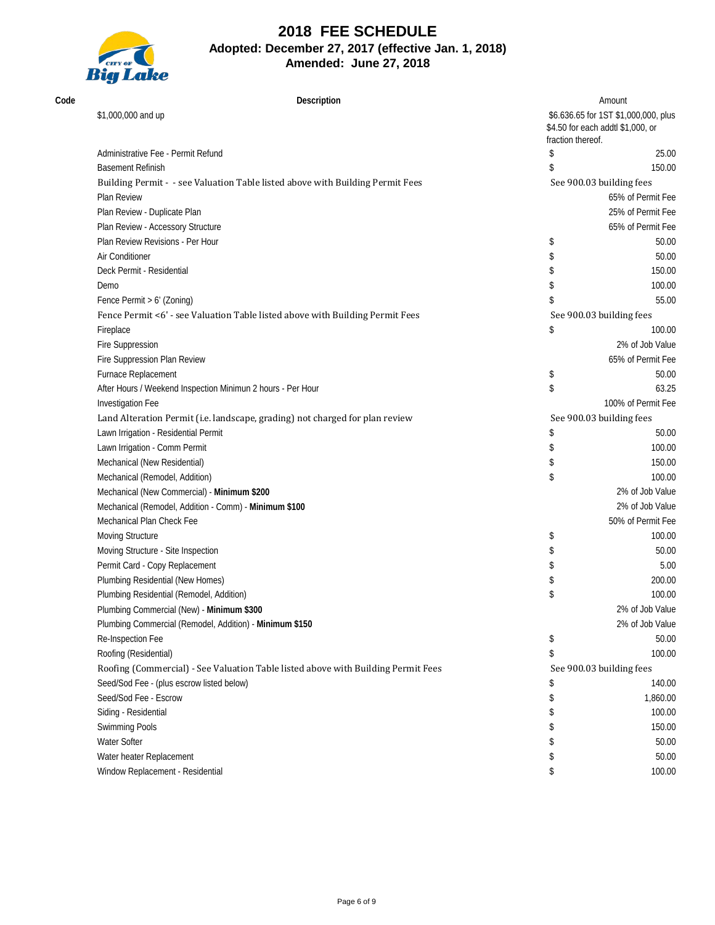

| Code | Description                                                                       |                                                                                                | Amount                   |
|------|-----------------------------------------------------------------------------------|------------------------------------------------------------------------------------------------|--------------------------|
|      | \$1,000,000 and up                                                                | \$6.636.65 for 1ST \$1,000,000, plus<br>\$4.50 for each addtl \$1,000, or<br>fraction thereof. |                          |
|      | Administrative Fee - Permit Refund                                                | \$                                                                                             | 25.00                    |
|      | <b>Basement Refinish</b>                                                          | \$                                                                                             | 150.00                   |
|      | Building Permit - - see Valuation Table listed above with Building Permit Fees    |                                                                                                | See 900.03 building fees |
|      | Plan Review                                                                       |                                                                                                | 65% of Permit Fee        |
|      | Plan Review - Duplicate Plan                                                      |                                                                                                | 25% of Permit Fee        |
|      | Plan Review - Accessory Structure                                                 |                                                                                                | 65% of Permit Fee        |
|      | Plan Review Revisions - Per Hour                                                  | \$                                                                                             | 50.00                    |
|      | Air Conditioner                                                                   | \$                                                                                             | 50.00                    |
|      | Deck Permit - Residential                                                         | \$                                                                                             | 150.00                   |
|      | Demo                                                                              | \$                                                                                             | 100.00                   |
|      | Fence Permit > 6' (Zoning)                                                        | \$                                                                                             | 55.00                    |
|      | Fence Permit <6' - see Valuation Table listed above with Building Permit Fees     |                                                                                                | See 900.03 building fees |
|      | Fireplace                                                                         | \$                                                                                             | 100.00                   |
|      | Fire Suppression                                                                  |                                                                                                | 2% of Job Value          |
|      | Fire Suppression Plan Review                                                      |                                                                                                | 65% of Permit Fee        |
|      | Furnace Replacement                                                               | \$                                                                                             | 50.00                    |
|      | After Hours / Weekend Inspection Minimun 2 hours - Per Hour                       | \$                                                                                             | 63.25                    |
|      | Investigation Fee                                                                 |                                                                                                | 100% of Permit Fee       |
|      | Land Alteration Permit (i.e. landscape, grading) not charged for plan review      |                                                                                                | See 900.03 building fees |
|      | Lawn Irrigation - Residential Permit                                              | \$                                                                                             | 50.00                    |
|      | Lawn Irrigation - Comm Permit                                                     | \$                                                                                             | 100.00                   |
|      | Mechanical (New Residential)                                                      | \$                                                                                             | 150.00                   |
|      | Mechanical (Remodel, Addition)                                                    | \$                                                                                             | 100.00                   |
|      | Mechanical (New Commercial) - Minimum \$200                                       |                                                                                                | 2% of Job Value          |
|      | Mechanical (Remodel, Addition - Comm) - Minimum \$100                             |                                                                                                | 2% of Job Value          |
|      | Mechanical Plan Check Fee                                                         |                                                                                                | 50% of Permit Fee        |
|      | Moving Structure                                                                  | \$                                                                                             | 100.00                   |
|      | Moving Structure - Site Inspection                                                | \$                                                                                             | 50.00                    |
|      | Permit Card - Copy Replacement                                                    | \$                                                                                             | 5.00                     |
|      | Plumbing Residential (New Homes)                                                  | \$                                                                                             | 200.00                   |
|      | Plumbing Residential (Remodel, Addition)                                          | \$                                                                                             | 100.00                   |
|      | Plumbing Commercial (New) - Minimum \$300                                         |                                                                                                | 2% of Job Value          |
|      | Plumbing Commercial (Remodel, Addition) - Minimum \$150                           |                                                                                                | 2% of Job Value          |
|      | Re-Inspection Fee                                                                 | \$                                                                                             | 50.00                    |
|      | Roofing (Residential)                                                             | \$                                                                                             | 100.00                   |
|      | Roofing (Commercial) - See Valuation Table listed above with Building Permit Fees |                                                                                                | See 900.03 building fees |
|      | Seed/Sod Fee - (plus escrow listed below)                                         | S                                                                                              | 140.00                   |
|      | Seed/Sod Fee - Escrow                                                             | \$                                                                                             | 1,860.00                 |
|      | Siding - Residential                                                              | \$                                                                                             | 100.00                   |
|      | Swimming Pools                                                                    | S                                                                                              | 150.00                   |
|      | <b>Water Softer</b>                                                               |                                                                                                | 50.00                    |
|      | Water heater Replacement                                                          |                                                                                                | 50.00                    |
|      | Window Replacement - Residential                                                  | \$                                                                                             | 100.00                   |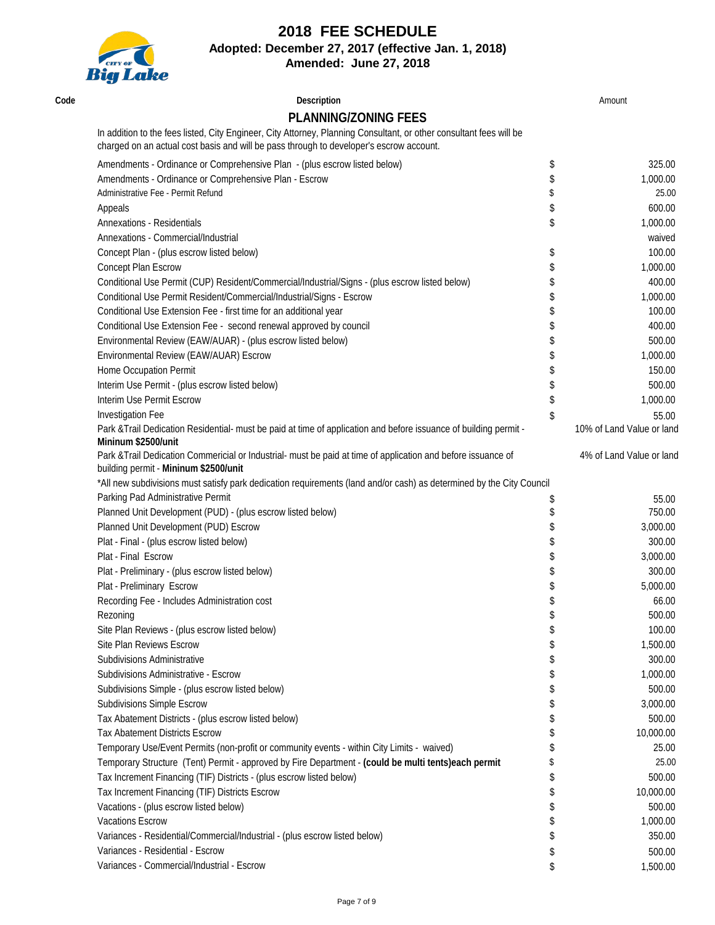# **2018 FEE SCHEDULE**



**Adopted: December 27, 2017 (effective Jan. 1, 2018)**

**Amended: June 27, 2018**

| Code | Description                                                                                                                                                                                                    | Amount                    |
|------|----------------------------------------------------------------------------------------------------------------------------------------------------------------------------------------------------------------|---------------------------|
|      | <b>PLANNING/ZONING FEES</b>                                                                                                                                                                                    |                           |
|      | In addition to the fees listed, City Engineer, City Attorney, Planning Consultant, or other consultant fees will be<br>charged on an actual cost basis and will be pass through to developer's escrow account. |                           |
|      | Amendments - Ordinance or Comprehensive Plan - (plus escrow listed below)                                                                                                                                      | \$<br>325.00              |
|      | Amendments - Ordinance or Comprehensive Plan - Escrow                                                                                                                                                          | \$<br>1,000.00            |
|      | Administrative Fee - Permit Refund                                                                                                                                                                             | 25.00                     |
|      | Appeals                                                                                                                                                                                                        | \$<br>600.00              |
|      | <b>Annexations - Residentials</b>                                                                                                                                                                              | \$<br>1,000.00            |
|      | Annexations - Commercial/Industrial                                                                                                                                                                            | waived                    |
|      | Concept Plan - (plus escrow listed below)                                                                                                                                                                      | \$<br>100.00              |
|      | Concept Plan Escrow                                                                                                                                                                                            | \$<br>1,000.00            |
|      | Conditional Use Permit (CUP) Resident/Commercial/Industrial/Signs - (plus escrow listed below)                                                                                                                 | \$<br>400.00              |
|      | Conditional Use Permit Resident/Commercial/Industrial/Signs - Escrow                                                                                                                                           | 1,000.00                  |
|      | Conditional Use Extension Fee - first time for an additional year                                                                                                                                              | 100.00                    |
|      | Conditional Use Extension Fee - second renewal approved by council                                                                                                                                             | 400.00                    |
|      | Environmental Review (EAW/AUAR) - (plus escrow listed below)                                                                                                                                                   | 500.00                    |
|      | Environmental Review (EAW/AUAR) Escrow                                                                                                                                                                         | 1,000.00                  |
|      | Home Occupation Permit                                                                                                                                                                                         | 150.00                    |
|      | Interim Use Permit - (plus escrow listed below)                                                                                                                                                                | \$<br>500.00              |
|      | Interim Use Permit Escrow                                                                                                                                                                                      | \$<br>1,000.00            |
|      | Investigation Fee                                                                                                                                                                                              | \$<br>55.00               |
|      | Park & Trail Dedication Residential- must be paid at time of application and before issuance of building permit -<br>Mininum \$2500/unit                                                                       | 10% of Land Value or land |
|      | Park & Trail Dedication Commericial or Industrial- must be paid at time of application and before issuance of<br>building permit - Mininum \$2500/unit                                                         | 4% of Land Value or land  |
|      | *All new subdivisions must satisfy park dedication requirements (land and/or cash) as determined by the City Council                                                                                           |                           |
|      | Parking Pad Administrative Permit                                                                                                                                                                              | \$<br>55.00               |
|      | Planned Unit Development (PUD) - (plus escrow listed below)                                                                                                                                                    | \$<br>750.00              |
|      | Planned Unit Development (PUD) Escrow                                                                                                                                                                          | 3,000.00                  |
|      | Plat - Final - (plus escrow listed below)                                                                                                                                                                      | 300.00                    |
|      | Plat - Final Escrow                                                                                                                                                                                            | 3,000.00                  |
|      | Plat - Preliminary - (plus escrow listed below)                                                                                                                                                                | 300.00                    |
|      | Plat - Preliminary Escrow                                                                                                                                                                                      | 5,000.00                  |
|      | Recording Fee - Includes Administration cost                                                                                                                                                                   | \$<br>66.00               |
|      | Rezoning                                                                                                                                                                                                       | \$<br>500.00              |
|      | Site Plan Reviews - (plus escrow listed below)                                                                                                                                                                 | 100.00                    |
|      | <b>Site Plan Reviews Escrow</b>                                                                                                                                                                                | 1,500.00                  |
|      | Subdivisions Administrative                                                                                                                                                                                    | 300.00                    |
|      | Subdivisions Administrative - Escrow                                                                                                                                                                           | 1,000.00                  |
|      | Subdivisions Simple - (plus escrow listed below)                                                                                                                                                               | 500.00                    |
|      | Subdivisions Simple Escrow                                                                                                                                                                                     | 3,000.00                  |
|      | Tax Abatement Districts - (plus escrow listed below)                                                                                                                                                           | 500.00                    |
|      | <b>Tax Abatement Districts Escrow</b>                                                                                                                                                                          | 10,000.00                 |
|      | Temporary Use/Event Permits (non-profit or community events - within City Limits - waived)                                                                                                                     | 25.00                     |
|      | Temporary Structure (Tent) Permit - approved by Fire Department - (could be multi tents)each permit                                                                                                            | 25.00                     |
|      | Tax Increment Financing (TIF) Districts - (plus escrow listed below)                                                                                                                                           | 500.00                    |
|      | Tax Increment Financing (TIF) Districts Escrow                                                                                                                                                                 | 10,000.00                 |
|      | Vacations - (plus escrow listed below)                                                                                                                                                                         | 500.00                    |
|      | <b>Vacations Escrow</b>                                                                                                                                                                                        | 1,000.00                  |
|      | Variances - Residential/Commercial/Industrial - (plus escrow listed below)                                                                                                                                     | 350.00                    |
|      | Variances - Residential - Escrow                                                                                                                                                                               | 500.00                    |
|      | Variances - Commercial/Industrial - Escrow                                                                                                                                                                     | 1,500.00                  |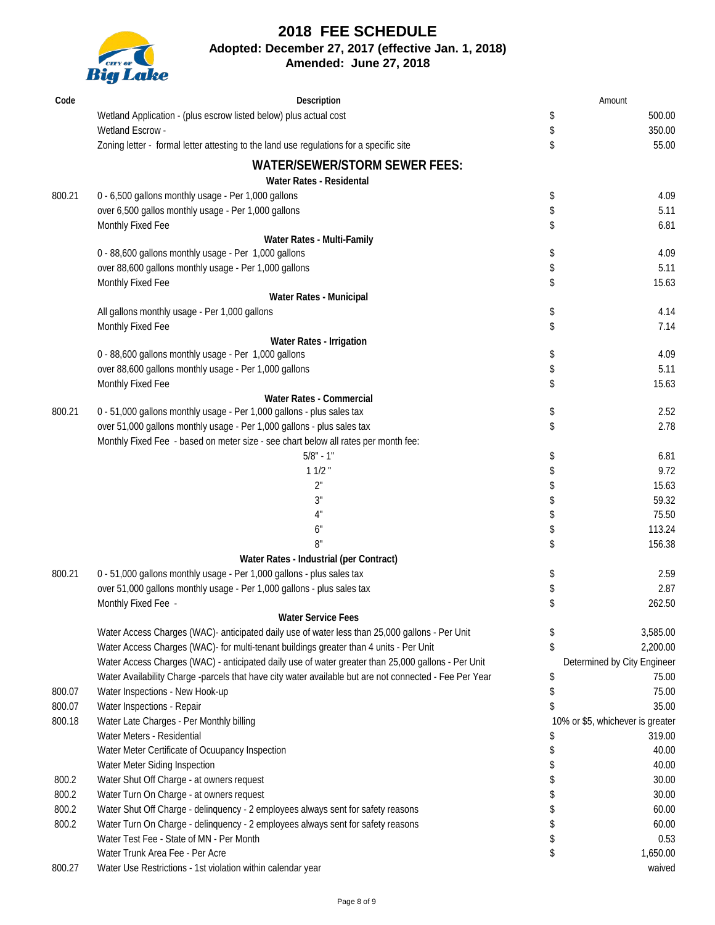

## **2018 FEE SCHEDULE Adopted: December 27, 2017 (effective Jan. 1, 2018)**

**Amended: June 27, 2018**

| Code   | Description                                                                                              |          | Amount                                     |
|--------|----------------------------------------------------------------------------------------------------------|----------|--------------------------------------------|
|        | Wetland Application - (plus escrow listed below) plus actual cost                                        | \$       | 500.00                                     |
|        | Wetland Escrow -                                                                                         | \$       | 350.00                                     |
|        | Zoning letter - formal letter attesting to the land use regulations for a specific site                  | \$       | 55.00                                      |
|        | <b>WATER/SEWER/STORM SEWER FEES:</b>                                                                     |          |                                            |
| 800.21 | Water Rates - Residental<br>0 - 6,500 gallons monthly usage - Per 1,000 gallons                          |          | 4.09                                       |
|        | over 6,500 gallos monthly usage - Per 1,000 gallons                                                      | \$<br>\$ | 5.11                                       |
|        | Monthly Fixed Fee                                                                                        | \$       | 6.81                                       |
|        | Water Rates - Multi-Family                                                                               |          |                                            |
|        | 0 - 88,600 gallons monthly usage - Per 1,000 gallons                                                     | \$       | 4.09                                       |
|        | over 88,600 gallons monthly usage - Per 1,000 gallons                                                    | \$       | 5.11                                       |
|        | Monthly Fixed Fee                                                                                        | \$       | 15.63                                      |
|        | Water Rates - Municipal                                                                                  |          |                                            |
|        | All gallons monthly usage - Per 1,000 gallons                                                            | \$       | 4.14                                       |
|        | Monthly Fixed Fee                                                                                        | \$       | 7.14                                       |
|        | Water Rates - Irrigation                                                                                 |          |                                            |
|        | 0 - 88,600 gallons monthly usage - Per 1,000 gallons                                                     | \$       | 4.09                                       |
|        | over 88,600 gallons monthly usage - Per 1,000 gallons                                                    | \$       | 5.11                                       |
|        | Monthly Fixed Fee                                                                                        | \$       | 15.63                                      |
| 800.21 | <b>Water Rates - Commercial</b><br>0 - 51,000 gallons monthly usage - Per 1,000 gallons - plus sales tax | \$       | 2.52                                       |
|        | over 51,000 gallons monthly usage - Per 1,000 gallons - plus sales tax                                   | \$       | 2.78                                       |
|        | Monthly Fixed Fee - based on meter size - see chart below all rates per month fee:                       |          |                                            |
|        | $5/8" - 1"$                                                                                              | \$       | 6.81                                       |
|        | 11/2                                                                                                     | \$       | 9.72                                       |
|        | 2"                                                                                                       | \$       | 15.63                                      |
|        | 3"                                                                                                       | \$       | 59.32                                      |
|        | 4"                                                                                                       | \$       | 75.50                                      |
|        | 6"                                                                                                       | \$       | 113.24                                     |
|        | 8"                                                                                                       | \$       | 156.38                                     |
|        | Water Rates - Industrial (per Contract)                                                                  |          |                                            |
| 800.21 | 0 - 51,000 gallons monthly usage - Per 1,000 gallons - plus sales tax                                    | \$       | 2.59                                       |
|        | over 51,000 gallons monthly usage - Per 1,000 gallons - plus sales tax                                   | \$       | 2.87                                       |
|        | Monthly Fixed Fee -                                                                                      | \$       | 262.50                                     |
|        | <b>Water Service Fees</b>                                                                                |          |                                            |
|        | Water Access Charges (WAC)- anticipated daily use of water less than 25,000 gallons - Per Unit           | \$       | 3,585.00                                   |
|        | Water Access Charges (WAC)- for multi-tenant buildings greater than 4 units - Per Unit                   | \$       | 2,200.00                                   |
|        | Water Access Charges (WAC) - anticipated daily use of water greater than 25,000 gallons - Per Unit       |          | Determined by City Engineer                |
|        | Water Availability Charge -parcels that have city water available but are not connected - Fee Per Year   | \$       | 75.00                                      |
| 800.07 | Water Inspections - New Hook-up                                                                          | \$       | 75.00                                      |
| 800.07 | Water Inspections - Repair                                                                               | \$       | 35.00                                      |
| 800.18 | Water Late Charges - Per Monthly billing<br>Water Meters - Residential                                   |          | 10% or \$5, whichever is greater<br>319.00 |
|        | Water Meter Certificate of Ocuupancy Inspection                                                          | \$<br>\$ | 40.00                                      |
|        | Water Meter Siding Inspection                                                                            | \$       | 40.00                                      |
| 800.2  | Water Shut Off Charge - at owners request                                                                | \$       | 30.00                                      |
| 800.2  | Water Turn On Charge - at owners request                                                                 | \$       | 30.00                                      |
| 800.2  | Water Shut Off Charge - delinquency - 2 employees always sent for safety reasons                         | \$       | 60.00                                      |
| 800.2  | Water Turn On Charge - delinquency - 2 employees always sent for safety reasons                          | \$       | 60.00                                      |
|        | Water Test Fee - State of MN - Per Month                                                                 | \$       | 0.53                                       |
|        | Water Trunk Area Fee - Per Acre                                                                          | \$       | 1,650.00                                   |
| 800.27 | Water Use Restrictions - 1st violation within calendar year                                              |          | waived                                     |